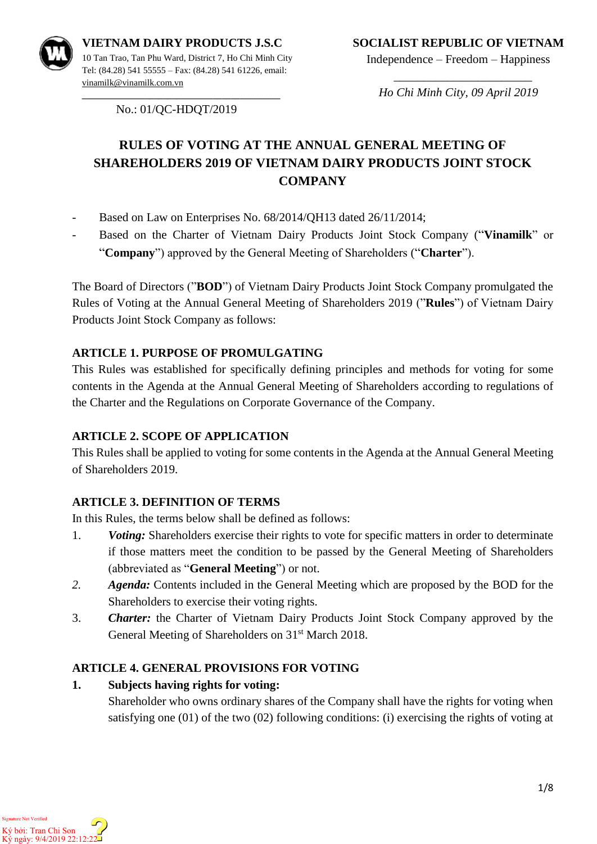

Independence – Freedom – Happiness

**\_\_\_\_\_\_\_\_\_\_\_\_\_\_\_\_\_\_\_\_\_\_\_\_\_\_\_\_\_\_\_\_\_\_\_\_\_\_\_\_\_\_\_\_** No.: 01/QC-HDQT/2019

 $\overline{\phantom{a}}$  , which is a set of the set of the set of the set of the set of the set of the set of the set of the set of the set of the set of the set of the set of the set of the set of the set of the set of the set of th *Ho Chi Minh City, 09 April 2019*

# **RULES OF VOTING AT THE ANNUAL GENERAL MEETING OF SHAREHOLDERS 2019 OF VIETNAM DAIRY PRODUCTS JOINT STOCK COMPANY**

- Based on Law on Enterprises No. 68/2014/QH13 dated 26/11/2014;
- Based on the Charter of Vietnam Dairy Products Joint Stock Company ("**Vinamilk**" or "**Company**") approved by the General Meeting of Shareholders ("**Charter**").

The Board of Directors ("**BOD**") of Vietnam Dairy Products Joint Stock Company promulgated the Rules of Voting at the Annual General Meeting of Shareholders 2019 ("**Rules**") of Vietnam Dairy Products Joint Stock Company as follows:

#### **ARTICLE 1. PURPOSE OF PROMULGATING**

This Rules was established for specifically defining principles and methods for voting for some contents in the Agenda at the Annual General Meeting of Shareholders according to regulations of the Charter and the Regulations on Corporate Governance of the Company.

#### **ARTICLE 2. SCOPE OF APPLICATION**

This Rules shall be applied to voting for some contents in the Agenda at the Annual General Meeting of Shareholders 2019.

#### **ARTICLE 3. DEFINITION OF TERMS**

In this Rules, the terms below shall be defined as follows:

- 1. *Voting:* Shareholders exercise their rights to vote for specific matters in order to determinate if those matters meet the condition to be passed by the General Meeting of Shareholders (abbreviated as "**General Meeting**") or not.
- *2. Agenda:* Contents included in the General Meeting which are proposed by the BOD for the Shareholders to exercise their voting rights.
- 3. *Charter:* the Charter of Vietnam Dairy Products Joint Stock Company approved by the General Meeting of Shareholders on 31<sup>st</sup> March 2018.

#### **ARTICLE 4. GENERAL PROVISIONS FOR VOTING**

#### **1. Subjects having rights for voting:**

Shareholder who owns ordinary shares of the Company shall have the rights for voting when satisfying one (01) of the two (02) following conditions: (i) exercising the rights of voting at

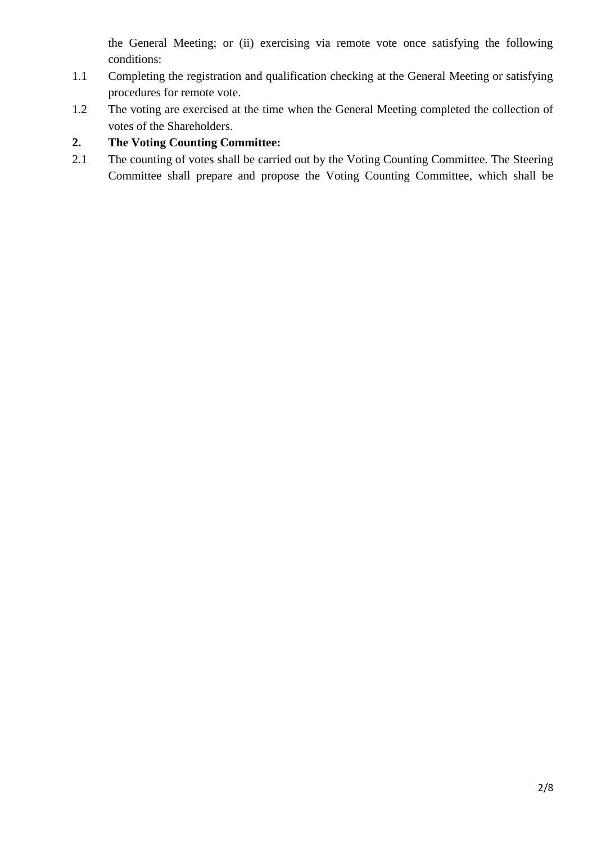the General Meeting; or (ii) exercising via remote vote once satisfying the following conditions:

- 1.1 Completing the registration and qualification checking at the General Meeting or satisfying procedures for remote vote.
- 1.2 The voting are exercised at the time when the General Meeting completed the collection of votes of the Shareholders.

### **2. The Voting Counting Committee:**

2.1 The counting of votes shall be carried out by the Voting Counting Committee. The Steering Committee shall prepare and propose the Voting Counting Committee, which shall be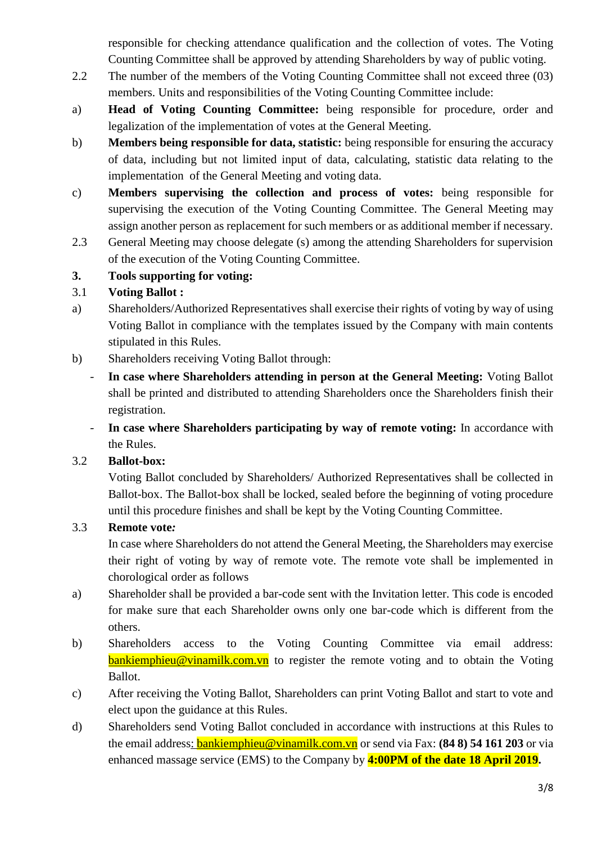responsible for checking attendance qualification and the collection of votes. The Voting Counting Committee shall be approved by attending Shareholders by way of public voting.

- 2.2 The number of the members of the Voting Counting Committee shall not exceed three (03) members. Units and responsibilities of the Voting Counting Committee include:
- a) **Head of Voting Counting Committee:** being responsible for procedure, order and legalization of the implementation of votes at the General Meeting.
- b) **Members being responsible for data, statistic:** being responsible for ensuring the accuracy of data, including but not limited input of data, calculating, statistic data relating to the implementation of the General Meeting and voting data.
- c) **Members supervising the collection and process of votes:** being responsible for supervising the execution of the Voting Counting Committee. The General Meeting may assign another person as replacement for such members or as additional member if necessary.
- 2.3 General Meeting may choose delegate (s) among the attending Shareholders for supervision of the execution of the Voting Counting Committee.

#### **3. Tools supporting for voting:**

#### 3.1 **Voting Ballot :**

- a) Shareholders/Authorized Representatives shall exercise their rights of voting by way of using Voting Ballot in compliance with the templates issued by the Company with main contents stipulated in this Rules.
- b) Shareholders receiving Voting Ballot through:
	- **In case where Shareholders attending in person at the General Meeting:** Voting Ballot shall be printed and distributed to attending Shareholders once the Shareholders finish their registration.
	- **In case where Shareholders participating by way of remote voting:** In accordance with the Rules.

## 3.2 **Ballot-box:**

Voting Ballot concluded by Shareholders/ Authorized Representatives shall be collected in Ballot-box. The Ballot-box shall be locked, sealed before the beginning of voting procedure until this procedure finishes and shall be kept by the Voting Counting Committee.

## 3.3 **Remote vote***:*

In case where Shareholders do not attend the General Meeting, the Shareholders may exercise their right of voting by way of remote vote. The remote vote shall be implemented in chorological order as follows

- a) Shareholder shall be provided a bar-code sent with the Invitation letter. This code is encoded for make sure that each Shareholder owns only one bar-code which is different from the others.
- b) Shareholders access to the Voting Counting Committee via email address: **[bankiemphieu@vinamilk.com.vn](mailto:bankiemphieu@vinamilk.com.vn)** to register the remote voting and to obtain the Voting Ballot.
- c) After receiving the Voting Ballot, Shareholders can print Voting Ballot and start to vote and elect upon the guidance at this Rules.
- d) Shareholders send Voting Ballot concluded in accordance with instructions at this Rules to the email address: [bankiemphieu@vinamilk.com.vn](mailto:bankiemphieu@vinamilk.com.vn) or send via Fax: **(84 8) 54 161 203** or via enhanced massage service (EMS) to the Company by **4:00PM of the date 18 April 2019.**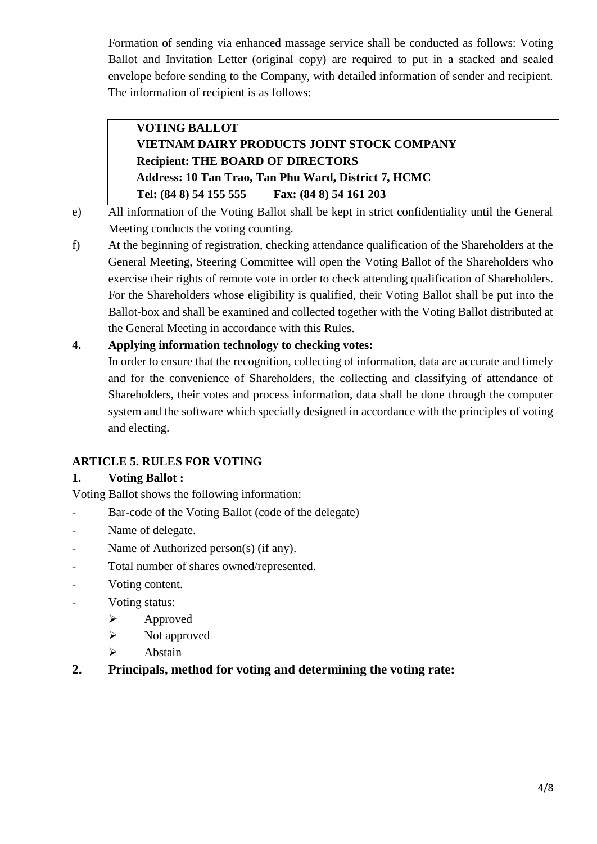Formation of sending via enhanced massage service shall be conducted as follows: Voting Ballot and Invitation Letter (original copy) are required to put in a stacked and sealed envelope before sending to the Company, with detailed information of sender and recipient. The information of recipient is as follows:

## **VOTING BALLOT VIETNAM DAIRY PRODUCTS JOINT STOCK COMPANY Recipient: THE BOARD OF DIRECTORS Address: 10 Tan Trao, Tan Phu Ward, District 7, HCMC Tel: (84 8) 54 155 555 Fax: (84 8) 54 161 203**

- e) All information of the Voting Ballot shall be kept in strict confidentiality until the General Meeting conducts the voting counting.
- f) At the beginning of registration, checking attendance qualification of the Shareholders at the General Meeting, Steering Committee will open the Voting Ballot of the Shareholders who exercise their rights of remote vote in order to check attending qualification of Shareholders. For the Shareholders whose eligibility is qualified, their Voting Ballot shall be put into the Ballot-box and shall be examined and collected together with the Voting Ballot distributed at the General Meeting in accordance with this Rules.

#### **4. Applying information technology to checking votes:**

In order to ensure that the recognition, collecting of information, data are accurate and timely and for the convenience of Shareholders, the collecting and classifying of attendance of Shareholders, their votes and process information, data shall be done through the computer system and the software which specially designed in accordance with the principles of voting and electing.

#### **ARTICLE 5. RULES FOR VOTING**

#### **1. Voting Ballot :**

Voting Ballot shows the following information:

- Bar-code of the Voting Ballot (code of the delegate)
- Name of delegate.
- Name of Authorized person(s) (if any).
- Total number of shares owned/represented.
- Voting content.
- Voting status:
	- $\blacktriangleright$  Approved
	- $\triangleright$  Not approved
	- > Abstain

#### **2. Principals, method for voting and determining the voting rate:**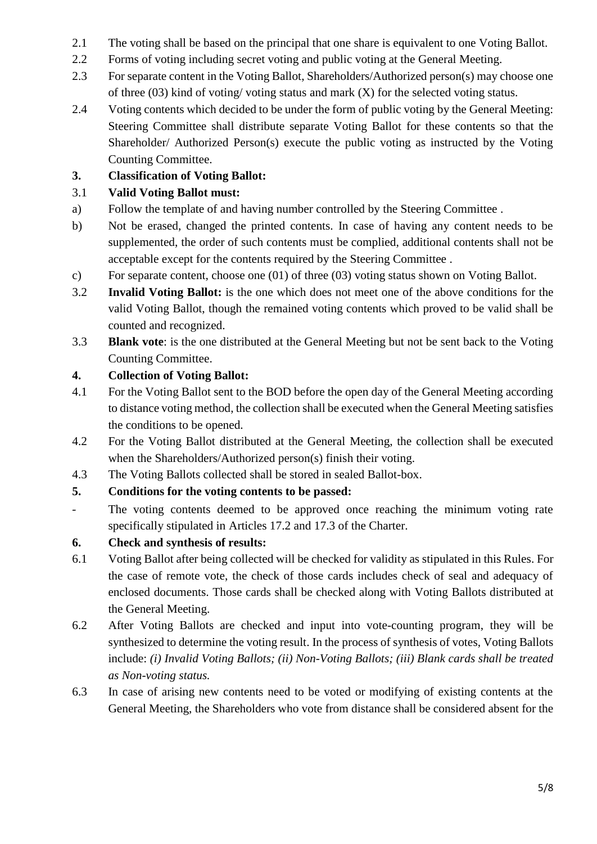- 2.1 The voting shall be based on the principal that one share is equivalent to one Voting Ballot.
- 2.2 Forms of voting including secret voting and public voting at the General Meeting.
- 2.3 For separate content in the Voting Ballot, Shareholders/Authorized person(s) may choose one of three (03) kind of voting/ voting status and mark (X) for the selected voting status.
- 2.4 Voting contents which decided to be under the form of public voting by the General Meeting: Steering Committee shall distribute separate Voting Ballot for these contents so that the Shareholder/ Authorized Person(s) execute the public voting as instructed by the Voting Counting Committee.

## **3. Classification of Voting Ballot:**

#### 3.1 **Valid Voting Ballot must:**

- a) Follow the template of and having number controlled by the Steering Committee .
- b) Not be erased, changed the printed contents. In case of having any content needs to be supplemented, the order of such contents must be complied, additional contents shall not be acceptable except for the contents required by the Steering Committee .
- c) For separate content, choose one (01) of three (03) voting status shown on Voting Ballot.
- 3.2 **Invalid Voting Ballot:** is the one which does not meet one of the above conditions for the valid Voting Ballot, though the remained voting contents which proved to be valid shall be counted and recognized.
- 3.3 **Blank vote**: is the one distributed at the General Meeting but not be sent back to the Voting Counting Committee.

#### **4. Collection of Voting Ballot:**

- 4.1 For the Voting Ballot sent to the BOD before the open day of the General Meeting according to distance voting method, the collection shall be executed when the General Meeting satisfies the conditions to be opened.
- 4.2 For the Voting Ballot distributed at the General Meeting, the collection shall be executed when the Shareholders/Authorized person(s) finish their voting.
- 4.3 The Voting Ballots collected shall be stored in sealed Ballot-box.

## **5. Conditions for the voting contents to be passed:**

- The voting contents deemed to be approved once reaching the minimum voting rate specifically stipulated in Articles 17.2 and 17.3 of the Charter.

## **6. Check and synthesis of results:**

- 6.1 Voting Ballot after being collected will be checked for validity as stipulated in this Rules. For the case of remote vote, the check of those cards includes check of seal and adequacy of enclosed documents. Those cards shall be checked along with Voting Ballots distributed at the General Meeting.
- 6.2 After Voting Ballots are checked and input into vote-counting program, they will be synthesized to determine the voting result. In the process of synthesis of votes, Voting Ballots include: *(i) Invalid Voting Ballots; (ii) Non-Voting Ballots; (iii) Blank cards shall be treated as Non-voting status.*
- 6.3 In case of arising new contents need to be voted or modifying of existing contents at the General Meeting, the Shareholders who vote from distance shall be considered absent for the